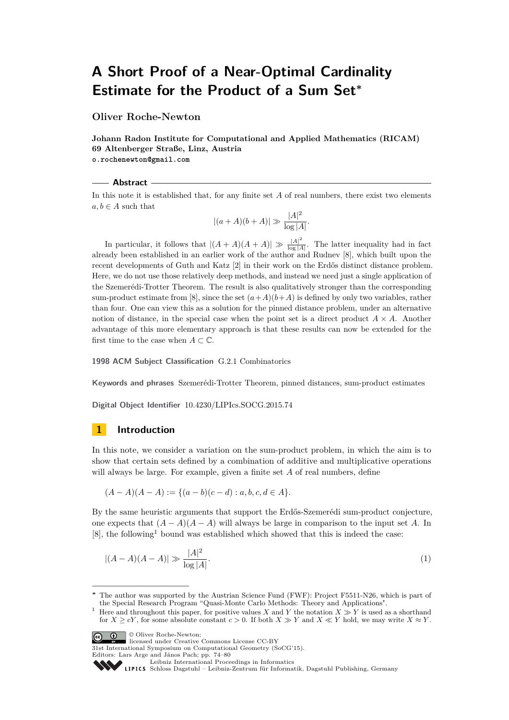# **A Short Proof of a Near-Optimal Cardinality Estimate for the Product of a Sum Set<sup>∗</sup>**

**Oliver Roche-Newton**

**Johann Radon Institute for Computational and Applied Mathematics (RICAM) 69 Altenberger Straße, Linz, Austria o.rochenewton@gmail.com**

# **Abstract**

In this note it is established that, for any finite set *A* of real numbers, there exist two elements  $a, b \in A$  such that

$$
|(a+A)(b+A)| \gg \frac{|A|^2}{\log|A|}.
$$

In particular, it follows that  $|(A+A)(A+A)| \gg \frac{|A|^2}{\log |A|}$  $\frac{|A|}{\log |A|}$ . The latter inequality had in fact already been established in an earlier work of the author and Rudnev [\[8\]](#page-5-0), which built upon the recent developments of Guth and Katz [\[2\]](#page-5-1) in their work on the Erdős distinct distance problem. Here, we do not use those relatively deep methods, and instead we need just a single application of the Szemerédi-Trotter Theorem. The result is also qualitatively stronger than the corresponding sum-product estimate from [\[8\]](#page-5-0), since the set  $(a+A)(b+A)$  is defined by only two variables, rather than four. One can view this as a solution for the pinned distance problem, under an alternative notion of distance, in the special case when the point set is a direct product  $A \times A$ . Another advantage of this more elementary approach is that these results can now be extended for the first time to the case when  $A \subset \mathbb{C}$ .

**1998 ACM Subject Classification** G.2.1 Combinatorics

**Keywords and phrases** Szemerédi-Trotter Theorem, pinned distances, sum-product estimates

**Digital Object Identifier** [10.4230/LIPIcs.SOCG.2015.74](http://dx.doi.org/10.4230/LIPIcs.SOCG.2015.74)

## **1 Introduction**

In this note, we consider a variation on the sum-product problem, in which the aim is to show that certain sets defined by a combination of additive and multiplicative operations will always be large. For example, given a finite set *A* of real numbers, define

<span id="page-0-1"></span>
$$
(A-A)(A-A) := \{(a-b)(c-d) : a, b, c, d \in A\}.
$$

By the same heuristic arguments that support the Erdős-Szemerédi sum-product conjecture, one expects that  $(A - A)(A - A)$  will always be large in comparison to the input set *A*. In [\[8\]](#page-5-0), the following[1](#page-0-0) bound was established which showed that this is indeed the case:

$$
|(A - A)(A - A)| \gg \frac{|A|^2}{\log |A|}.
$$
 (1)

**C**  $\bullet$  **O** Oliver Roche-Newton:

licensed under Creative Commons License CC-BY

31st International Symposium on Computational Geometry (SoCG'15).

Editors: Lars Arge and János Pach; pp. 74[–80](#page-6-0)

[Leibniz International Proceedings in Informatics](http://www.dagstuhl.de/lipics/)

[Schloss Dagstuhl – Leibniz-Zentrum für Informatik, Dagstuhl Publishing, Germany](http://www.dagstuhl.de)

The author was supported by the Austrian Science Fund (FWF): Project F5511-N26, which is part of the Special Research Program "Quasi-Monte Carlo Methods: Theory and Applications".

<span id="page-0-0"></span><sup>&</sup>lt;sup>1</sup> Here and throughout this paper, for positive values *X* and *Y* the notation  $X \gg Y$  is used as a shorthand for  $X \ge cY$ , for some absolute constant  $c > 0$ . If both  $X \gg Y$  and  $X \ll Y$  hold, we may write  $X \approx Y$ .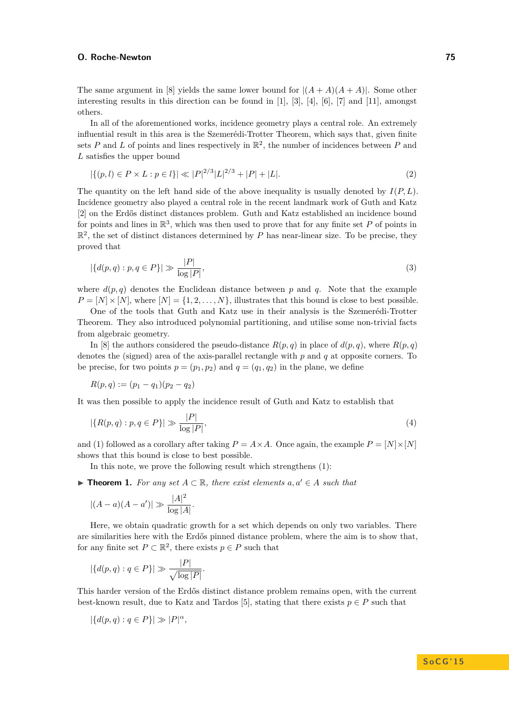#### **O. Roche-Newton 75**

The same argument in [\[8\]](#page-5-0) yields the same lower bound for  $|(A+A)(A+A)|$ . Some other interesting results in this direction can be found in [\[1\]](#page-5-2), [\[3\]](#page-5-3), [\[4\]](#page-5-4), [\[6\]](#page-5-5), [\[7\]](#page-5-6) and [\[11\]](#page-6-1), amongst others.

In all of the aforementioned works, incidence geometry plays a central role. An extremely influential result in this area is the Szemerédi-Trotter Theorem, which says that, given finite sets P and L of points and lines respectively in  $\mathbb{R}^2$ , the number of incidences between P and *L* satisfies the upper bound

<span id="page-1-1"></span>
$$
|\{(p,l)\in P\times L : p\in l\}| \ll |P|^{2/3}|L|^{2/3} + |P| + |L|.
$$
\n(2)

The quantity on the left hand side of the above inequality is usually denoted by *I*(*P, L*). Incidence geometry also played a central role in the recent landmark work of Guth and Katz [\[2\]](#page-5-1) on the Erdős distinct distances problem. Guth and Katz established an incidence bound for points and lines in  $\mathbb{R}^3$ , which was then used to prove that for any finite set P of points in  $\mathbb{R}^2$ , the set of distinct distances determined by *P* has near-linear size. To be precise, they proved that

$$
|\{d(p,q) : p,q \in P\}| \gg \frac{|P|}{\log |P|},\tag{3}
$$

where  $d(p,q)$  denotes the Euclidean distance between p and q. Note that the example  $P = [N] \times [N]$ , where  $[N] = \{1, 2, \ldots, N\}$ , illustrates that this bound is close to best possible.

One of the tools that Guth and Katz use in their analysis is the Szemerédi-Trotter Theorem. They also introduced polynomial partitioning, and utilise some non-trivial facts from algebraic geometry.

In [\[8\]](#page-5-0) the authors considered the pseudo-distance  $R(p, q)$  in place of  $d(p, q)$ , where  $R(p, q)$ denotes the (signed) area of the axis-parallel rectangle with *p* and *q* at opposite corners. To be precise, for two points  $p = (p_1, p_2)$  and  $q = (q_1, q_2)$  in the plane, we define

$$
R(p,q) := (p_1 - q_1)(p_2 - q_2)
$$

It was then possible to apply the incidence result of Guth and Katz to establish that

$$
|\{R(p,q): p,q \in P\}| \gg \frac{|P|}{\log |P|},\tag{4}
$$

and [\(1\)](#page-0-1) followed as a corollary after taking  $P = A \times A$ . Once again, the example  $P = [N] \times [N]$ shows that this bound is close to best possible.

In this note, we prove the following result which strengthens [\(1\)](#page-0-1):

<span id="page-1-0"></span>**► Theorem 1.** For any set  $A \subset \mathbb{R}$ , there exist elements  $a, a' \in A$  such that

$$
|(A - a)(A - a')| \gg \frac{|A|^2}{\log |A|}.
$$

Here, we obtain quadratic growth for a set which depends on only two variables. There are similarities here with the Erdős pinned distance problem, where the aim is to show that, for any finite set  $P \subset \mathbb{R}^2$ , there exists  $p \in P$  such that

$$
|\{d(p,q):q\in P\}|\gg \frac{|P|}{\sqrt{\log |P|}}.
$$

This harder version of the Erdős distinct distance problem remains open, with the current best-known result, due to Katz and Tardos [\[5\]](#page-5-7), stating that there exists  $p \in P$  such that

$$
|\{d(p,q):q\in P\}|\gg |P|^{\alpha},
$$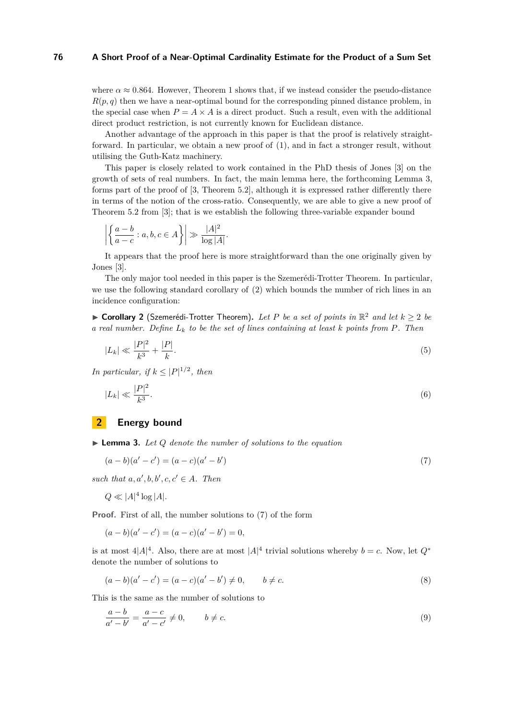#### **76 A Short Proof of a Near-Optimal Cardinality Estimate for the Product of a Sum Set**

where  $\alpha \approx 0.864$ . However, Theorem [1](#page-1-0) shows that, if we instead consider the pseudo-distance  $R(p, q)$  then we have a near-optimal bound for the corresponding pinned distance problem, in the special case when  $P = A \times A$  is a direct product. Such a result, even with the additional direct product restriction, is not currently known for Euclidean distance.

Another advantage of the approach in this paper is that the proof is relatively straightforward. In particular, we obtain a new proof of [\(1\)](#page-0-1), and in fact a stronger result, without utilising the Guth-Katz machinery.

This paper is closely related to work contained in the PhD thesis of Jones [\[3\]](#page-5-3) on the growth of sets of real numbers. In fact, the main lemma here, the forthcoming Lemma [3,](#page-2-0) forms part of the proof of [\[3,](#page-5-3) Theorem 5.2], although it is expressed rather differently there in terms of the notion of the cross-ratio. Consequently, we are able to give a new proof of Theorem 5.2 from [\[3\]](#page-5-3); that is we establish the following three-variable expander bound

$$
\left| \left\{ \frac{a-b}{a-c} : a,b,c \in A \right\} \right| \gg \frac{|A|^2}{\log |A|}.
$$

It appears that the proof here is more straightforward than the one originally given by Jones [\[3\]](#page-5-3).

The only major tool needed in this paper is the Szemerédi-Trotter Theorem. In particular, we use the following standard corollary of [\(2\)](#page-1-1) which bounds the number of rich lines in an incidence configuration:

<span id="page-2-3"></span>▶ **Corollary 2** (Szemerédi-Trotter Theorem). Let P be a set of points in  $\mathbb{R}^2$  and let  $k ≥ 2$  be *a real number. Define L<sup>k</sup> to be the set of lines containing at least k points from P. Then*

$$
|L_k| \ll \frac{|P|^2}{k^3} + \frac{|P|}{k}.\tag{5}
$$

*In particular, if*  $k \leq |P|^{1/2}$ , *then* 

<span id="page-2-4"></span>
$$
|L_k| \ll \frac{|P|^2}{k^3}.\tag{6}
$$

## **2 Energy bound**

<span id="page-2-0"></span>I **Lemma 3.** *Let Q denote the number of solutions to the equation*

<span id="page-2-1"></span>
$$
(a - b)(a' - c') = (a - c)(a' - b')
$$
\n(7)

such that  $a, a', b, b', c, c' \in A$ . Then

$$
Q \ll |A|^4 \log |A|.
$$

**Proof.** First of all, the number solutions to [\(7\)](#page-2-1) of the form

$$
(a - b)(a' - c') = (a - c)(a' - b') = 0,
$$

is at most  $4|A|^4$ . Also, there are at most  $|A|^4$  trivial solutions whereby  $b = c$ . Now, let  $Q^*$ denote the number of solutions to

<span id="page-2-2"></span>
$$
(a - b)(a' - c') = (a - c)(a' - b') \neq 0, \qquad b \neq c.
$$
\n(8)

This is the same as the number of solutions to

$$
\frac{a-b}{a'-b'} = \frac{a-c}{a'-c'} \neq 0, \qquad b \neq c.
$$
\n(9)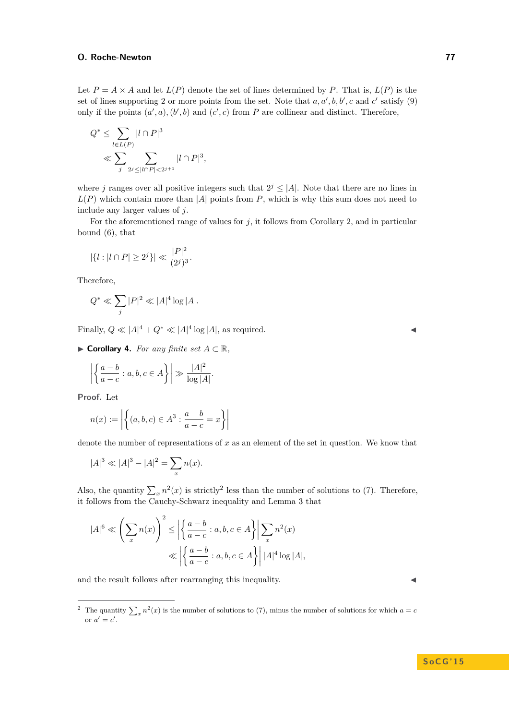#### **O. Roche-Newton 77**

Let  $P = A \times A$  and let  $L(P)$  denote the set of lines determined by P. That is,  $L(P)$  is the set of lines supporting 2 or more points from the set. Note that  $a, a', b, b', c$  and  $c'$  satisfy [\(9\)](#page-2-2) only if the points  $(a', a)$ ,  $(b', b)$  and  $(c', c)$  from *P* are collinear and distinct. Therefore,

$$
Q^* \le \sum_{l \in L(P)} |l \cap P|^3
$$
  
\$\ll \sum\_j \sum\_{2^j \le |l \cap P| < 2^{j+1}} |l \cap P|^3\$,

where *j* ranges over all positive integers such that  $2^{j} \leq |A|$ . Note that there are no lines in  $L(P)$  which contain more than |*A*| points from *P*, which is why this sum does not need to include any larger values of *j*.

For the aforementioned range of values for *j*, it follows from Corollary [2,](#page-2-3) and in particular bound [\(6\)](#page-2-4), that

$$
|\{l:|l\cap P|\geq 2^j\}|\ll \frac{|P|^2}{(2^j)^3}.
$$

Therefore,

$$
Q^*\ll \sum_j|P|^2\ll |A|^4\log|A|.
$$

Finally,  $Q \ll |A|^4 + Q^* \ll |A|^4 \log |A|$ , as required.

<span id="page-3-1"></span> $\blacktriangleright$  **Corollary 4.** *For any finite set*  $A \subset \mathbb{R}$ *,* 

$$
\left| \left\{ \frac{a-b}{a-c} : a,b,c \in A \right\} \right| \gg \frac{|A|^2}{\log |A|}.
$$

**Proof.** Let

$$
n(x) := \left| \left\{ (a, b, c) \in A^3 : \frac{a - b}{a - c} = x \right\} \right|
$$

denote the number of representations of *x* as an element of the set in question. We know that

$$
|A|^3 \ll |A|^3 - |A|^2 = \sum_x n(x).
$$

Also, the quantity  $\sum_{x} n^2(x)$  $\sum_{x} n^2(x)$  $\sum_{x} n^2(x)$  is strictly<sup>2</sup> less than the number of solutions to [\(7\)](#page-2-1). Therefore, it follows from the Cauchy-Schwarz inequality and Lemma [3](#page-2-0) that

$$
|A|^6 \ll \left(\sum_x n(x)\right)^2 \le \left|\left\{\frac{a-b}{a-c} : a,b,c \in A\right\}\right| \sum_x n^2(x)
$$

$$
\ll \left|\left\{\frac{a-b}{a-c} : a,b,c \in A\right\}\right| |A|^4 \log |A|,
$$

and the result follows after rearranging this inequality.

<span id="page-3-0"></span><sup>&</sup>lt;sup>2</sup> The quantity  $\sum_{x} n^2(x)$  is the number of solutions to [\(7\)](#page-2-1), minus the number of solutions for which  $a = c$ or  $a' = c'$ .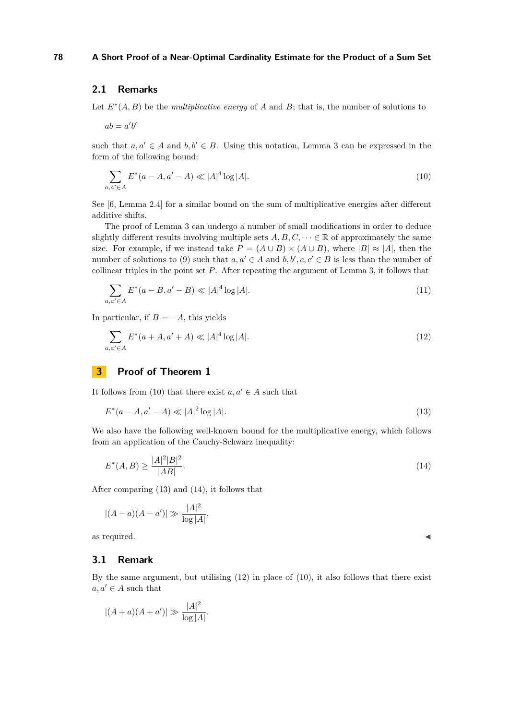# **2.1 Remarks**

Let  $E^*(A, B)$  be the *multiplicative energy* of *A* and *B*; that is, the number of solutions to

 $ab = a'b'$ 

such that  $a, a' \in A$  and  $b, b' \in B$ . Using this notation, Lemma [3](#page-2-0) can be expressed in the form of the following bound:

<span id="page-4-0"></span>
$$
\sum_{a,a' \in A} E^*(a - A, a' - A) \ll |A|^4 \log |A|.
$$
\n(10)

See [\[6,](#page-5-5) Lemma 2.4] for a similar bound on the sum of multiplicative energies after different additive shifts.

The proof of Lemma [3](#page-2-0) can undergo a number of small modifications in order to deduce slightly different results involving multiple sets  $A, B, C, \dots \in \mathbb{R}$  of approximately the same size. For example, if we instead take  $P = (A \cup B) \times (A \cup B)$ , where  $|B| \approx |A|$ , then the number of solutions to [\(9\)](#page-2-2) such that  $a, a' \in A$  and  $b, b', c, c' \in B$  is less than the number of collinear triples in the point set *P*. After repeating the argument of Lemma [3,](#page-2-0) it follows that

$$
\sum_{a,a' \in A} E^*(a - B, a' - B) \ll |A|^4 \log |A|. \tag{11}
$$

In particular, if  $B = -A$ , this yields

<span id="page-4-3"></span>
$$
\sum_{a,a' \in A} E^*(a+A, a'+A) \ll |A|^4 \log |A|. \tag{12}
$$

# **3 Proof of Theorem [1](#page-1-0)**

It follows from [\(10\)](#page-4-0) that there exist  $a, a' \in A$  such that

<span id="page-4-1"></span>
$$
E^*(a - A, a' - A) \ll |A|^2 \log |A|.
$$
\n(13)

We also have the following well-known bound for the multiplicative energy, which follows from an application of the Cauchy-Schwarz inequality:

<span id="page-4-2"></span>
$$
E^*(A,B) \ge \frac{|A|^2|B|^2}{|AB|}.\tag{14}
$$

After comparing [\(13\)](#page-4-1) and [\(14\)](#page-4-2), it follows that

$$
|(A - a)(A - a')| \gg \frac{|A|^2}{\log |A|},
$$

as required.

#### **3.1 Remark**

By the same argument, but utilising [\(12\)](#page-4-3) in place of [\(10\)](#page-4-0), it also follows that there exist  $a, a' \in A$  such that

$$
|(A + a)(A + a')| \gg \frac{|A|^2}{\log |A|}.
$$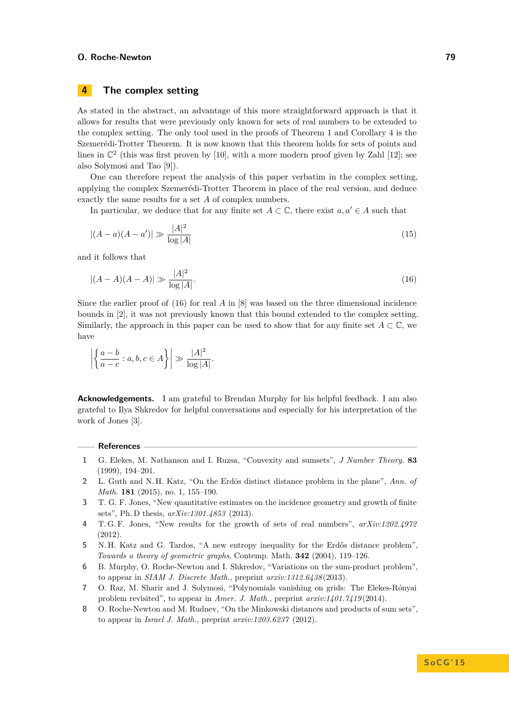#### **O. Roche-Newton 79**

# **4 The complex setting**

As stated in the abstract, an advantage of this more straightforward approach is that it allows for results that were previously only known for sets of real numbers to be extended to the complex setting. The only tool used in the proofs of Theorem [1](#page-1-0) and Corollary [4](#page-3-1) is the Szemerédi-Trotter Theorem. It is now known that this theorem holds for sets of points and lines in  $\mathbb{C}^2$  (this was first proven by [\[10\]](#page-6-2), with a more modern proof given by Zahl [\[12\]](#page-6-3); see also Solymosi and Tao [\[9\]](#page-6-4)).

One can therefore repeat the analysis of this paper verbatim in the complex setting, applying the complex Szemerédi-Trotter Theorem in place of the real version, and deduce exactly the same results for a set *A* of complex numbers.

In particular, we deduce that for any finite set  $A \subset \mathbb{C}$ , there exist  $a, a' \in A$  such that

$$
|(A - a)(A - a')| \gg \frac{|A|^2}{\log |A|} \tag{15}
$$

and it follows that

<span id="page-5-8"></span>
$$
|(A - A)(A - A)| \gg \frac{|A|^2}{\log |A|}.
$$
\n(16)

Since the earlier proof of [\(16\)](#page-5-8) for real *A* in [\[8\]](#page-5-0) was based on the three dimensional incidence bounds in [\[2\]](#page-5-1), it was not previously known that this bound extended to the complex setting. Similarly, the approach in this paper can be used to show that for any finite set  $A \subset \mathbb{C}$ , we have

$$
\left| \left\{ \frac{a-b}{a-c} : a,b,c \in A \right\} \right| \gg \frac{|A|^2}{\log |A|}.
$$

**Acknowledgements.** I am grateful to Brendan Murphy for his helpful feedback. I am also grateful to Ilya Shkredov for helpful conversations and especially for his interpretation of the work of Jones [\[3\]](#page-5-3).

#### **References**

- <span id="page-5-2"></span>**1** G. Elekes, M. Nathanson and I. Ruzsa, "Convexity and sumsets", *J Number Theory.* **83** (1999), 194–201.
- <span id="page-5-1"></span>**2** L. Guth and N. H. Katz, "On the Erdös distinct distance problem in the plane", *Ann. of Math.* **181** (2015), no. 1, 155–190.
- <span id="page-5-3"></span>**3** T. G. F. Jones, "New quantitative estimates on the incidence geometry and growth of finite sets", Ph. D thesis, *arXiv:1301.4853* (2013).
- <span id="page-5-4"></span>**4** T. G. F. Jones, "New results for the growth of sets of real numbers", *arXiv:1202.4972* (2012).
- <span id="page-5-7"></span>**5** N. H. Katz and G. Tardos, "A new entropy inequality for the Erdős distance problem", *Towards a theory of geometric graphs*, Contemp. Math. **342** (2004), 119–126.
- <span id="page-5-5"></span>**6** B. Murphy, O. Roche-Newton and I. Shkredov, "Variations on the sum-product problem", to appear in *SIAM J. Discrete Math.*, preprint *arxiv:1312.6438* (2013).
- <span id="page-5-6"></span>**7** O. Raz, M. Sharir and J. Solymosi, "Polynomials vanishing on grids: The Elekes-Rónyai problem revisited", to appear in *Amer. J. Math.*, preprint *arxiv:1401.7419* (2014).
- <span id="page-5-0"></span>**8** O. Roche-Newton and M. Rudnev, "On the Minkowski distances and products of sum sets", to appear in *Israel J. Math.*, preprint *arxiv:1203.6237* (2012).